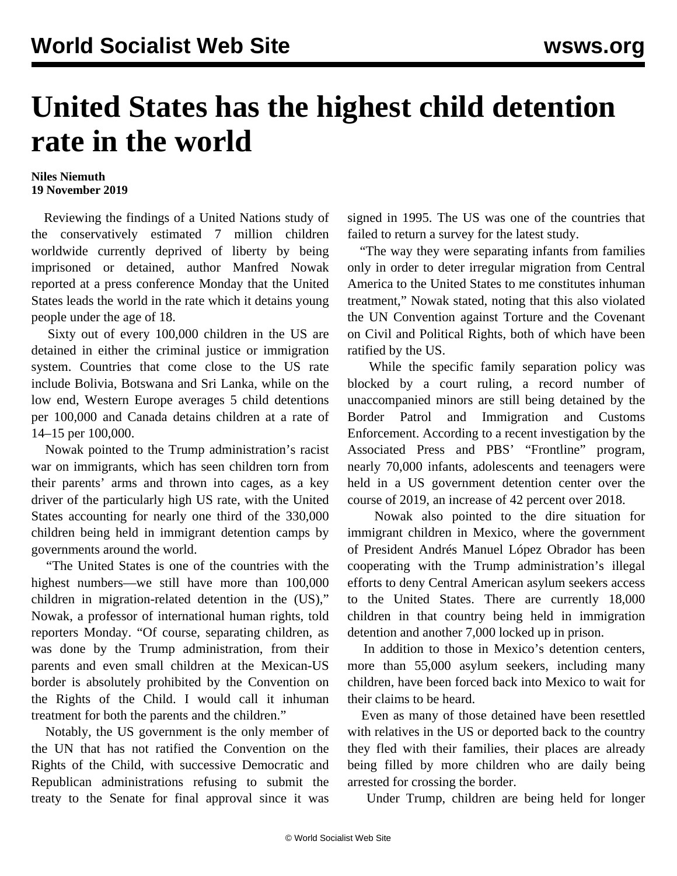## **United States has the highest child detention rate in the world**

## **Niles Niemuth 19 November 2019**

 Reviewing the findings of a United Nations [study](https://omnibook.com/view/e0623280-5656-42f8-9edf-5872f8f08562) of the conservatively estimated 7 million children worldwide currently deprived of liberty by being imprisoned or detained, author Manfred Nowak reported at a press conference Monday that the United States leads the world in the rate which it detains young people under the age of 18.

 Sixty out of every 100,000 children in the US are detained in either the criminal justice or immigration system. Countries that come close to the US rate include Bolivia, Botswana and Sri Lanka, while on the low end, Western Europe averages 5 child detentions per 100,000 and Canada detains children at a rate of 14–15 per 100,000.

 Nowak pointed to the Trump administration's racist war on immigrants, which has seen children torn from their parents' arms and thrown into cages, as a key driver of the particularly high US rate, with the United States accounting for nearly one third of the 330,000 children being held in immigrant detention camps by governments around the world.

 "The United States is one of the countries with the highest numbers—we still have more than 100,000 children in migration-related detention in the (US)," Nowak, a professor of international human rights, told reporters Monday. "Of course, separating children, as was done by the Trump administration, from their parents and even small children at the Mexican-US border is absolutely prohibited by the Convention on the Rights of the Child. I would call it inhuman treatment for both the parents and the children."

 Notably, the US government is the only member of the UN that has not ratified the Convention on the Rights of the Child, with successive Democratic and Republican administrations refusing to submit the treaty to the Senate for final approval since it was

signed in 1995. The US was one of the countries that failed to return a survey for the latest study.

 "The way they were separating infants from families only in order to deter irregular migration from Central America to the United States to me constitutes inhuman treatment," Nowak stated, noting that this also violated the UN Convention against Torture and the Covenant on Civil and Political Rights, both of which have been ratified by the US.

 While the specific family separation policy was blocked by a court ruling, a record number of unaccompanied minors are still being detained by the Border Patrol and Immigration and Customs Enforcement. According to a recent investigation by the Associated Press and PBS' "Frontline" program, nearly 70,000 infants, adolescents and teenagers were held in a US government detention center over the course of 2019, an increase of 42 percent over 2018.

 Nowak also pointed to the dire situation for immigrant children in Mexico, where the government of President Andrés Manuel López Obrador has been cooperating with the Trump administration's illegal efforts to deny Central American asylum seekers access to the United States. There are currently 18,000 children in that country being held in immigration detention and another 7,000 locked up in prison.

 In addition to those in Mexico's detention centers, more than 55,000 asylum seekers, including many children, have been forced back into Mexico to wait for their claims to be heard.

 Even as many of those detained have been resettled with relatives in the US or deported back to the country they fled with their families, their places are already being filled by more children who are daily being arrested for crossing the border.

Under Trump, children are being held for longer